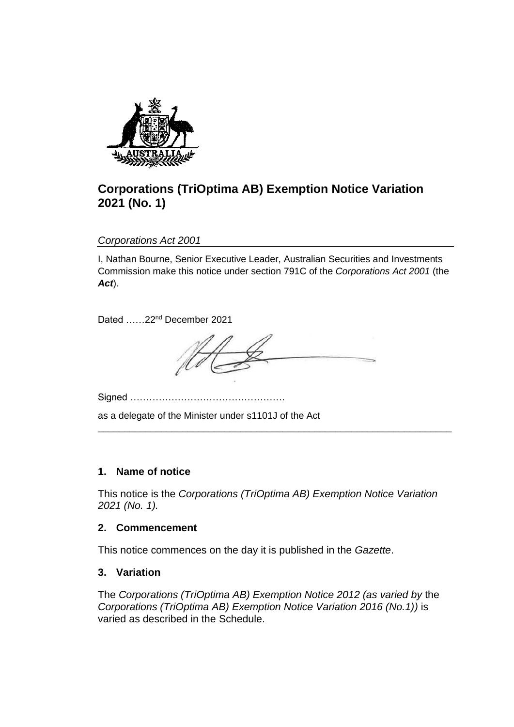

# **Corporations (TriOptima AB) Exemption Notice Variation 2021 (No. 1)**

*Corporations Act 2001*

I, Nathan Bourne, Senior Executive Leader, Australian Securities and Investments Commission make this notice under section 791C of the *Corporations Act 2001* (the *Act*).

Dated ……22<sup>nd</sup> December 2021

\_\_\_\_\_\_\_\_\_\_\_\_\_\_\_\_\_\_\_\_\_\_\_\_\_\_\_\_\_\_\_\_\_\_\_\_\_\_\_\_\_\_\_\_\_\_\_\_\_\_\_\_\_\_\_\_\_\_\_\_\_\_\_\_\_\_\_

Signed ………………………………………….

as a delegate of the Minister under s1101J of the Act

## **1. Name of notice**

This notice is the *Corporations (TriOptima AB) Exemption Notice Variation 2021 (No. 1).*

## **2. Commencement**

This notice commences on the day it is published in the *Gazette*.

## **3. Variation**

The *Corporations (TriOptima AB) Exemption Notice 2012 (as varied by* the *Corporations (TriOptima AB) Exemption Notice Variation 2016 (No.1))* is varied as described in the Schedule.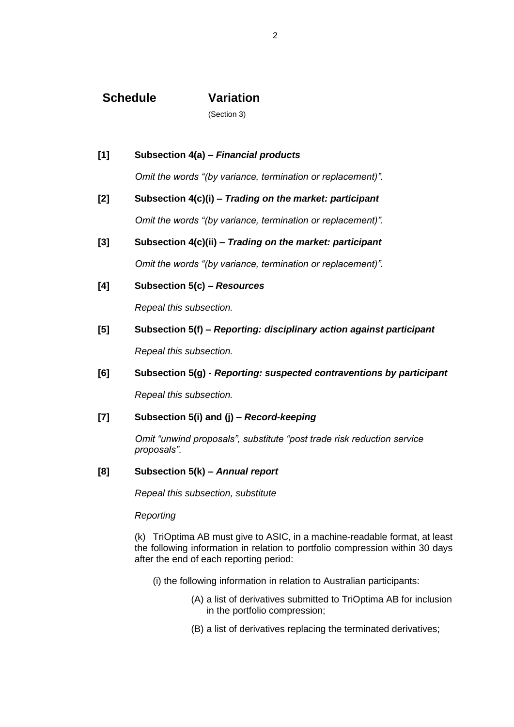## **Schedule Variation**

(Section 3)

**[1] Subsection 4(a) –** *Financial products Omit the words "(by variance, termination or replacement)".* **[2] Subsection 4(c)(i) –** *Trading on the market: participant Omit the words "(by variance, termination or replacement)".* **[3] Subsection 4(c)(ii) –** *Trading on the market: participant*

*Omit the words "(by variance, termination or replacement)".*

**[4] Subsection 5(c) –** *Resources*

*Repeal this subsection.*

**[5] Subsection 5(f) –** *Reporting: disciplinary action against participant*

*Repeal this subsection.*

**[6] Subsection 5(g) -** *Reporting: suspected contraventions by participant*

*Repeal this subsection.*

#### **[7] Subsection 5(i) and (j) –** *Record-keeping*

*Omit "unwind proposals", substitute "post trade risk reduction service proposals".*

#### **[8] Subsection 5(k) –** *Annual report*

*Repeal this subsection, substitute*

#### *Reporting*

(k) TriOptima AB must give to ASIC, in a machine-readable format, at least the following information in relation to portfolio compression within 30 days after the end of each reporting period:

- (i) the following information in relation to Australian participants:
	- (A) a list of derivatives submitted to TriOptima AB for inclusion in the portfolio compression;
	- (B) a list of derivatives replacing the terminated derivatives;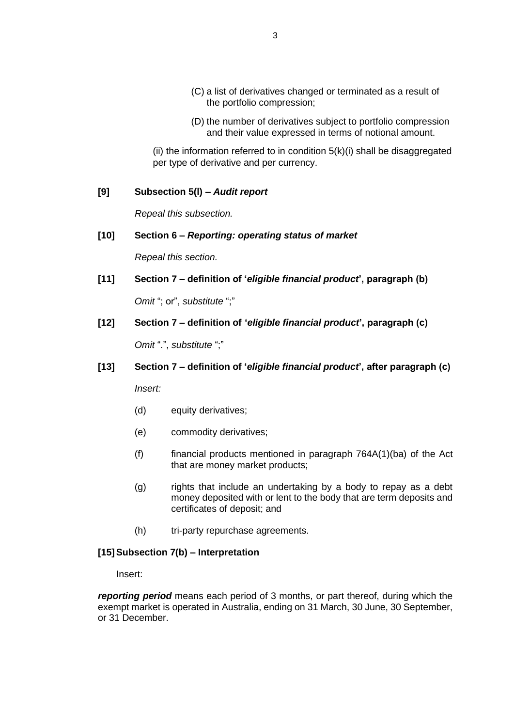- (C) a list of derivatives changed or terminated as a result of the portfolio compression;
- (D) the number of derivatives subject to portfolio compression and their value expressed in terms of notional amount.

(ii) the information referred to in condition  $5(k)(i)$  shall be disaggregated per type of derivative and per currency.

### **[9] Subsection 5(l) –** *Audit report*

*Repeal this subsection.*

#### **[10] Section 6 –** *Reporting: operating status of market*

*Repeal this section.*

**[11] Section 7 – definition of '***eligible financial product***', paragraph (b)**

*Omit* "; or", *substitute* ";"

**[12] Section 7 – definition of '***eligible financial product***', paragraph (c)**

*Omit* ".", *substitute* ";"

**[13] Section 7 – definition of '***eligible financial product***', after paragraph (c)**

*Insert:*

- (d) equity derivatives;
- (e) commodity derivatives;
- $(f)$  financial products mentioned in paragraph 764A(1)(ba) of the Act that are money market products;
- (g) rights that include an undertaking by a body to repay as a debt money deposited with or lent to the body that are term deposits and certificates of deposit; and
- (h) tri-party repurchase agreements.

#### **[15]Subsection 7(b) – Interpretation**

Insert:

*reporting period* means each period of 3 months, or part thereof, during which the exempt market is operated in Australia, ending on 31 March, 30 June, 30 September, or 31 December.